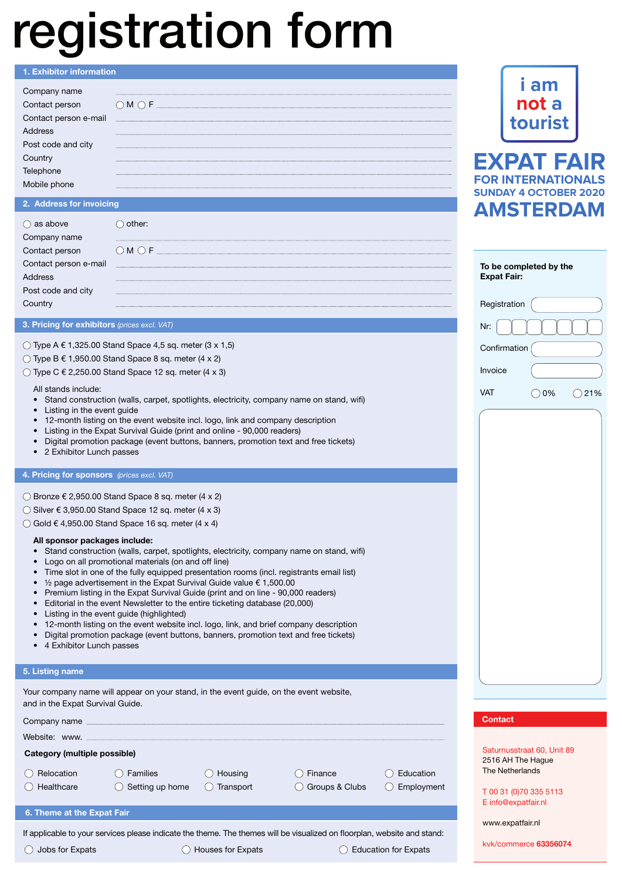# registration form

## 1. Exhibitor information

| name                        |                |
|-----------------------------|----------------|
| $\mathcal{L} = \mathcal{L}$ | $M \bigcirc F$ |
| Contact person e-mail       |                |
|                             |                |
| Post code and city          |                |
|                             |                |
|                             |                |
|                             |                |

# 2. Address for invoicing

| as above                                  | mer:                      |
|-------------------------------------------|---------------------------|
| name<br><u>and the state of the state</u> |                           |
| ntact person                              | $\bigcirc$ M $\bigcirc$ F |
| Contact person e-mail                     |                           |
|                                           |                           |
| Post code and city                        |                           |
|                                           |                           |

# 3. Pricing for exhibitors *(prices excl. VAT)*

# $\bigcirc$  Type A € 1,325.00 Stand Space 4,5 sq. meter (3 x 1,5)

- $\bigcirc$  Type B € 1,950.00 Stand Space 8 sq. meter (4 x 2)
- $\circlearrowright$  Type C  $\in$  2,250.00 Stand Space 12 sq. meter (4 x 3)

All stands include:

- Stand construction (walls, carpet, spotlights, electricity, company name on stand, wifi)
- Listing in the event guide
- 12-month listing on the event website incl. logo, link and company description
- Listing in the Expat Survival Guide (print and online 90,000 readers)
- Digital promotion package (event buttons, banners, promotion text and free tickets)
- 2 Exhibitor Lunch passes

# 4. Pricing for sponsors *(prices excl. VAT)*

Bronze € 2,950.00 Stand Space 8 sq. meter (4 x 2)

 $\bigcirc$  Silver € 3,950.00 Stand Space 12 sq. meter (4 x 3)

 $\bigcirc$  Gold  $\epsilon$  4,950.00 Stand Space 16 sq. meter (4 x 4)

# All sponsor packages include:

- Stand construction (walls, carpet, spotlights, electricity, company name on stand, wifi)
- Logo on all promotional materials (on and off line)
- Time slot in one of the fully equipped presentation rooms (incl. registrants email list)
- $\frac{1}{2}$  page advertisement in the Expat Survival Guide value  $\epsilon$  1,500.00 • Premium listing in the Expat Survival Guide (print and on line - 90,000 readers)
- Editorial in the event Newsletter to the entire ticketing database (20,000)
- Listing in the event guide (highlighted)
- 12-month listing on the event website incl. logo, link, and brief company description
- Digital promotion package (event buttons, banners, promotion text and free tickets)
- 4 Exhibitor Lunch passes

# 5. Listing name

| Company name <b>company</b> name and the company name of the contract of the contract of the contract of the contract of the contract of the contract of the contract of the contract of the contract of the contract of the contra<br>Website: www.<br>Category (multiple possible)<br>Relocation<br><b>Families</b><br>Housing<br>Education<br>Finance<br>Setting up home<br>Groups & Clubs<br>Healthcare<br>Transport<br>6. Theme at the Expat Fair | and in the Expat Survival Guide. | Your company name will appear on your stand, in the event guide, on the event website, |            |
|--------------------------------------------------------------------------------------------------------------------------------------------------------------------------------------------------------------------------------------------------------------------------------------------------------------------------------------------------------------------------------------------------------------------------------------------------------|----------------------------------|----------------------------------------------------------------------------------------|------------|
|                                                                                                                                                                                                                                                                                                                                                                                                                                                        |                                  |                                                                                        |            |
|                                                                                                                                                                                                                                                                                                                                                                                                                                                        |                                  |                                                                                        |            |
|                                                                                                                                                                                                                                                                                                                                                                                                                                                        |                                  |                                                                                        |            |
|                                                                                                                                                                                                                                                                                                                                                                                                                                                        |                                  |                                                                                        |            |
|                                                                                                                                                                                                                                                                                                                                                                                                                                                        |                                  |                                                                                        | Employment |
|                                                                                                                                                                                                                                                                                                                                                                                                                                                        |                                  |                                                                                        |            |
|                                                                                                                                                                                                                                                                                                                                                                                                                                                        |                                  |                                                                                        |            |

If applicable to your services please indicate the theme. The themes will be visualized on floorplan, website and stand:

◯ Jobs for Expats  $\bigcirc$  Houses for Expats  $\bigcirc$  Education for Expats



**FOR INTERNATIONA** 

**SUNDAY 4 OCTOBER 2020**

**Registration** Confirmation To be completed by the Expat Fair: Nr: **AMSTERDAM**

|      | . |  |  |
|------|---|--|--|
|      |   |  |  |
|      |   |  |  |
|      |   |  |  |
|      |   |  |  |
|      |   |  |  |
|      |   |  |  |
|      |   |  |  |
|      |   |  |  |
|      |   |  |  |
|      |   |  |  |
|      |   |  |  |
|      |   |  |  |
| 115T |   |  |  |
|      |   |  |  |

Invoice



|  |  | <b>Contact</b> |
|--|--|----------------|
|  |  |                |

Saturnusstraat 60, Unit 89 2516 AH The Hague The Netherlands

T 00 31 (0)70 335 5113 E info@expatfair.nl

www.expatfair.nl

kvk/commerce 63356074